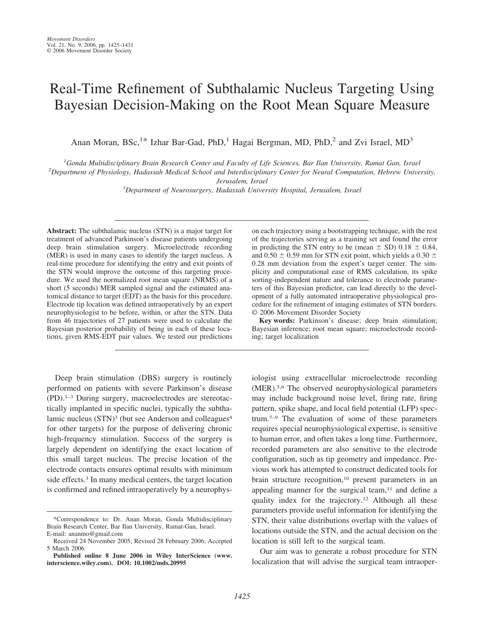# Real-Time Refinement of Subthalamic Nucleus Targeting Using Bayesian Decision-Making on the Root Mean Square Measure

Anan Moran, BSc,<sup>1\*</sup> Izhar Bar-Gad, PhD,<sup>1</sup> Hagai Bergman, MD, PhD,<sup>2</sup> and Zvi Israel, MD<sup>3</sup>

*1 Gonda Multidisciplinary Brain Research Center and Faculty of Life Sciences, Bar Ilan University, Ramat Gan, Israel <sup>2</sup>*

*Department of Physiology, Hadassah Medical School and Interdisciplinary Center for Neural Computation, Hebrew University,*

*Jerusalem, Israel <sup>3</sup> Department of Neurosurgery, Hadassah University Hospital, Jerusalem, Israel*

**Abstract:** The subthalamic nucleus (STN) is a major target for treatment of advanced Parkinson's disease patients undergoing deep brain stimulation surgery. Microelectrode recording (MER) is used in many cases to identify the target nucleus. A real-time procedure for identifying the entry and exit points of the STN would improve the outcome of this targeting procedure. We used the normalized root mean square (NRMS) of a short (5 seconds) MER sampled signal and the estimated anatomical distance to target (EDT) as the basis for this procedure. Electrode tip location was defined intraoperatively by an expert neurophysiologist to be before, within, or after the STN. Data from 46 trajectories of 27 patients were used to calculate the Bayesian posterior probability of being in each of these locations, given RMS-EDT pair values. We tested our predictions

Deep brain stimulation (DBS) surgery is routinely performed on patients with severe Parkinson's disease (PD).1–3 During surgery, macroelectrodes are stereotactically implanted in specific nuclei, typically the subthalamic nucleus  $(STN)<sup>3</sup>$  (but see Anderson and colleagues<sup>4</sup>) for other targets) for the purpose of delivering chronic high-frequency stimulation. Success of the surgery is largely dependent on identifying the exact location of this small target nucleus. The precise location of the electrode contacts ensures optimal results with minimum side effects.3 In many medical centers, the target location is confirmed and refined intraoperatively by a neurophyson each trajectory using a bootstrapping technique, with the rest of the trajectories serving as a training set and found the error in predicting the STN entry to be (mean  $\pm$  SD) 0.18  $\pm$  0.84, and 0.50  $\pm$  0.59 mm for STN exit point, which yields a 0.30  $\pm$ 0.28 mm deviation from the expert's target center. The simplicity and computational ease of RMS calculation, its spike sorting-independent nature and tolerance to electrode parameters of this Bayesian predictor, can lead directly to the development of a fully automated intraoperative physiological procedure for the refinement of imaging estimates of STN borders. © 2006 Movement Disorder Society

**Key words:** Parkinson's disease; deep brain stimulation; Bayesian inference; root mean square; microelectrode recording; target localization

iologist using extracellular microelectrode recording (MER).5,6 The observed neurophysiological parameters may include background noise level, firing rate, firing pattern, spike shape, and local field potential (LFP) spectrum.7–9 The evaluation of some of these parameters requires special neurophysiological expertise, is sensitive to human error, and often takes a long time. Furthermore, recorded parameters are also sensitive to the electrode configuration, such as tip geometry and impedance. Previous work has attempted to construct dedicated tools for brain structure recognition,10 present parameters in an appealing manner for the surgical team,<sup>11</sup> and define a quality index for the trajectory.12 Although all these parameters provide useful information for identifying the STN, their value distributions overlap with the values of locations outside the STN, and the actual decision on the location is still left to the surgical team.

Our aim was to generate a robust procedure for STN localization that will advise the surgical team intraoper-

<sup>\*</sup>Correspondence to: Dr. Anan Moran, Gonda Multidisciplinary Brain Research Center, Bar Ilan University, Ramat-Gan, Israel. E-mail: ananmo@gmail.com

Received 24 November 2005; Revised 28 February 2006; Accepted 5 March 2006

**Published online 8 June 2006 in Wiley InterScience (www. interscience.wiley.com). DOI: 10.1002/mds.20995**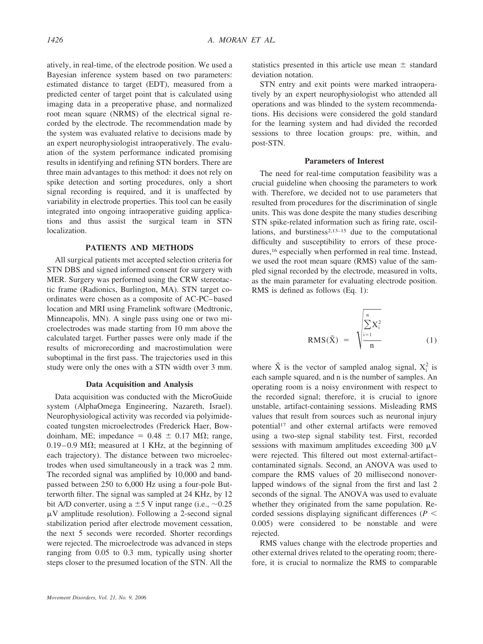atively, in real-time, of the electrode position. We used a Bayesian inference system based on two parameters: estimated distance to target (EDT), measured from a predicted center of target point that is calculated using imaging data in a preoperative phase, and normalized root mean square (NRMS) of the electrical signal recorded by the electrode. The recommendation made by the system was evaluated relative to decisions made by an expert neurophysiologist intraoperatively. The evaluation of the system performance indicated promising results in identifying and refining STN borders. There are three main advantages to this method: it does not rely on spike detection and sorting procedures, only a short signal recording is required, and it is unaffected by variability in electrode properties. This tool can be easily integrated into ongoing intraoperative guiding applications and thus assist the surgical team in STN localization.

# **PATIENTS AND METHODS**

All surgical patients met accepted selection criteria for STN DBS and signed informed consent for surgery with MER. Surgery was performed using the CRW stereotactic frame (Radionics, Burlington, MA). STN target coordinates were chosen as a composite of AC-PC– based location and MRI using Framelink software (Medtronic, Minneapolis, MN). A single pass using one or two microelectrodes was made starting from 10 mm above the calculated target. Further passes were only made if the results of microrecording and macrostimulation were suboptimal in the first pass. The trajectories used in this study were only the ones with a STN width over 3 mm.

#### **Data Acquisition and Analysis**

Data acquisition was conducted with the MicroGuide system (AlphaOmega Engineering, Nazareth, Israel). Neurophysiological activity was recorded via polyimidecoated tungsten microelectrodes (Frederick Haer, Bowdoinham, ME; impedance =  $0.48 \pm 0.17$  M $\Omega$ ; range, 0.19 – 0.9 M $\Omega$ ; measured at 1 KHz, at the beginning of each trajectory). The distance between two microelectrodes when used simultaneously in a track was 2 mm. The recorded signal was amplified by 10,000 and bandpassed between 250 to 6,000 Hz using a four-pole Butterworth filter. The signal was sampled at 24 KHz, by 12 bit A/D converter, using a  $\pm$  5 V input range (i.e.,  $\sim$ 0.25  $\mu$ V amplitude resolution). Following a 2-second signal stabilization period after electrode movement cessation, the next 5 seconds were recorded. Shorter recordings were rejected. The microelectrode was advanced in steps ranging from 0.05 to 0.3 mm, typically using shorter steps closer to the presumed location of the STN. All the

statistics presented in this article use mean  $\pm$  standard deviation notation.

STN entry and exit points were marked intraoperatively by an expert neurophysiologist who attended all operations and was blinded to the system recommendations. His decisions were considered the gold standard for the learning system and had divided the recorded sessions to three location groups: pre, within, and post-STN.

### **Parameters of Interest**

The need for real-time computation feasibility was a crucial guideline when choosing the parameters to work with. Therefore, we decided not to use parameters that resulted from procedures for the discrimination of single units. This was done despite the many studies describing STN spike-related information such as firing rate, oscillations, and burstiness $2,13-15$  due to the computational difficulty and susceptibility to errors of these procedures,<sup>16</sup> especially when performed in real time. Instead, we used the root mean square (RMS) value of the sampled signal recorded by the electrode, measured in volts, as the main parameter for evaluating electrode position. RMS is defined as follows (Eq. 1):

$$
RMS(\vec{X}) = \sqrt{\sum_{i=1}^{n} X_i^2 \over n}
$$
 (1)

where  $\vec{X}$  is the vector of sampled analog signal,  $X_i^2$  is each sample squared, and n is the number of samples. An operating room is a noisy environment with respect to the recorded signal; therefore, it is crucial to ignore unstable, artifact-containing sessions. Misleading RMS values that result from sources such as neuronal injury potential<sup>17</sup> and other external artifacts were removed using a two-step signal stability test. First, recorded sessions with maximum amplitudes exceeding 300  $\mu$ V were rejected. This filtered out most external-artifact– contaminated signals. Second, an ANOVA was used to compare the RMS values of 20 millisecond nonoverlapped windows of the signal from the first and last 2 seconds of the signal. The ANOVA was used to evaluate whether they originated from the same population. Recorded sessions displaying significant differences ( $P$  < 0.005) were considered to be nonstable and were rejected.

RMS values change with the electrode properties and other external drives related to the operating room; therefore, it is crucial to normalize the RMS to comparable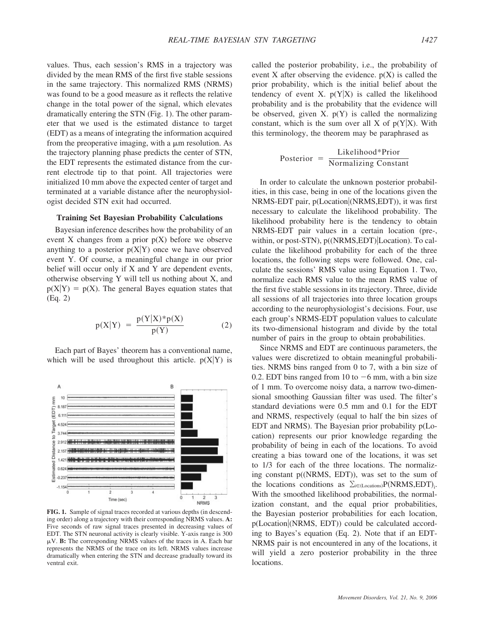values. Thus, each session's RMS in a trajectory was divided by the mean RMS of the first five stable sessions in the same trajectory. This normalized RMS (NRMS) was found to be a good measure as it reflects the relative change in the total power of the signal, which elevates dramatically entering the STN (Fig. 1). The other parameter that we used is the estimated distance to target (EDT) as a means of integrating the information acquired from the preoperative imaging, with a  $\mu$ m resolution. As the trajectory planning phase predicts the center of STN, the EDT represents the estimated distance from the current electrode tip to that point. All trajectories were initialized 10 mm above the expected center of target and terminated at a variable distance after the neurophysiologist decided STN exit had occurred.

#### **Training Set Bayesian Probability Calculations**

Bayesian inference describes how the probability of an event X changes from a prior  $p(X)$  before we observe anything to a posterior  $p(X|Y)$  once we have observed event Y. Of course, a meaningful change in our prior belief will occur only if X and Y are dependent events, otherwise observing Y will tell us nothing about X, and  $p(X|Y) = p(X)$ . The general Bayes equation states that (Eq. 2)

$$
p(X|Y) = \frac{p(Y|X)*p(X)}{p(Y)}
$$
 (2)

Each part of Bayes' theorem has a conventional name, which will be used throughout this article.  $p(X|Y)$  is



**FIG. 1.** Sample of signal traces recorded at various depths (in descending order) along a trajectory with their corresponding NRMS values. **A:** Five seconds of raw signal traces presented in decreasing values of EDT. The STN neuronal activity is clearly visible. Y-axis range is 300 V. **B:** The corresponding NRMS values of the traces in A. Each bar represents the NRMS of the trace on its left. NRMS values increase dramatically when entering the STN and decrease gradually toward its ventral exit.

called the posterior probability, i.e., the probability of event X after observing the evidence.  $p(X)$  is called the prior probability, which is the initial belief about the tendency of event X.  $p(Y|X)$  is called the likelihood probability and is the probability that the evidence will be observed, given X.  $p(Y)$  is called the normalizing constant, which is the sum over all X of  $p(Y|X)$ . With this terminology, the theorem may be paraphrased as

$$
Posterior = \frac{Likelihood*Prior}{Normalizing Constant}
$$

In order to calculate the unknown posterior probabilities, in this case, being in one of the locations given the NRMS-EDT pair, p(Location (NRMS, EDT)), it was first necessary to calculate the likelihood probability. The likelihood probability here is the tendency to obtain NRMS-EDT pair values in a certain location (pre-, within, or post-STN),  $p((NRMS, EDT)|Location)$ . To calculate the likelihood probability for each of the three locations, the following steps were followed. One, calculate the sessions' RMS value using Equation 1. Two, normalize each RMS value to the mean RMS value of the first five stable sessions in its trajectory. Three, divide all sessions of all trajectories into three location groups according to the neurophysiologist's decisions. Four, use each group's NRMS-EDT population values to calculate its two-dimensional histogram and divide by the total number of pairs in the group to obtain probabilities.

Since NRMS and EDT are continuous parameters, the values were discretized to obtain meaningful probabilities. NRMS bins ranged from 0 to 7, with a bin size of 0.2. EDT bins ranged from 10 to  $-6$  mm, with a bin size of 1 mm. To overcome noisy data, a narrow two-dimensional smoothing Gaussian filter was used. The filter's standard deviations were 0.5 mm and 0.1 for the EDT and NRMS, respectively (equal to half the bin sizes of EDT and NRMS). The Bayesian prior probability p(Location) represents our prior knowledge regarding the probability of being in each of the locations. To avoid creating a bias toward one of the locations, it was set to 1/3 for each of the three locations. The normalizing constant p((NRMS, EDT)), was set to the sum of the locations conditions as  $\Sigma_{i\in(Locations)}P(NRMS,EDT)_{i}$ . With the smoothed likelihood probabilities, the normalization constant, and the equal prior probabilities, the Bayesian posterior probabilities for each location, p(Location(NRMS, EDT)) could be calculated according to Bayes's equation (Eq. 2). Note that if an EDT-NRMS pair is not encountered in any of the locations, it will yield a zero posterior probability in the three locations.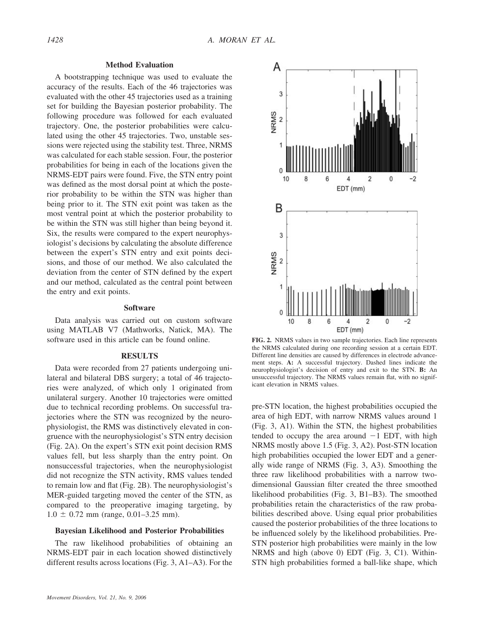## **Method Evaluation**

A bootstrapping technique was used to evaluate the accuracy of the results. Each of the 46 trajectories was evaluated with the other 45 trajectories used as a training set for building the Bayesian posterior probability. The following procedure was followed for each evaluated trajectory. One, the posterior probabilities were calculated using the other 45 trajectories. Two, unstable sessions were rejected using the stability test. Three, NRMS was calculated for each stable session. Four, the posterior probabilities for being in each of the locations given the NRMS-EDT pairs were found. Five, the STN entry point was defined as the most dorsal point at which the posterior probability to be within the STN was higher than being prior to it. The STN exit point was taken as the most ventral point at which the posterior probability to be within the STN was still higher than being beyond it. Six, the results were compared to the expert neurophysiologist's decisions by calculating the absolute difference between the expert's STN entry and exit points decisions, and those of our method. We also calculated the deviation from the center of STN defined by the expert and our method, calculated as the central point between the entry and exit points.

#### **Software**

Data analysis was carried out on custom software using MATLAB V7 (Mathworks, Natick, MA). The software used in this article can be found online.

#### **RESULTS**

Data were recorded from 27 patients undergoing unilateral and bilateral DBS surgery; a total of 46 trajectories were analyzed, of which only 1 originated from unilateral surgery. Another 10 trajectories were omitted due to technical recording problems. On successful trajectories where the STN was recognized by the neurophysiologist, the RMS was distinctively elevated in congruence with the neurophysiologist's STN entry decision (Fig. 2A). On the expert's STN exit point decision RMS values fell, but less sharply than the entry point. On nonsuccessful trajectories, when the neurophysiologist did not recognize the STN activity, RMS values tended to remain low and flat (Fig. 2B). The neurophysiologist's MER-guided targeting moved the center of the STN, as compared to the preoperative imaging targeting, by  $1.0 \pm 0.72$  mm (range, 0.01–3.25 mm).

### **Bayesian Likelihood and Posterior Probabilities**

The raw likelihood probabilities of obtaining an NRMS-EDT pair in each location showed distinctively different results across locations (Fig. 3, A1–A3). For the



**FIG. 2.** NRMS values in two sample trajectories. Each line represents the NRMS calculated during one recording session at a certain EDT. Different line densities are caused by differences in electrode advancement steps. **A:** A successful trajectory. Dashed lines indicate the neurophysiologist's decision of entry and exit to the STN. **B:** An unsuccessful trajectory. The NRMS values remain flat, with no significant elevation in NRMS values.

pre-STN location, the highest probabilities occupied the area of high EDT, with narrow NRMS values around 1 (Fig. 3, A1). Within the STN, the highest probabilities tended to occupy the area around  $-1$  EDT, with high NRMS mostly above 1.5 (Fig. 3, A2). Post-STN location high probabilities occupied the lower EDT and a generally wide range of NRMS (Fig. 3, A3). Smoothing the three raw likelihood probabilities with a narrow twodimensional Gaussian filter created the three smoothed likelihood probabilities (Fig. 3, B1–B3). The smoothed probabilities retain the characteristics of the raw probabilities described above. Using equal prior probabilities caused the posterior probabilities of the three locations to be influenced solely by the likelihood probabilities. Pre-STN posterior high probabilities were mainly in the low NRMS and high (above 0) EDT (Fig. 3, C1). Within-STN high probabilities formed a ball-like shape, which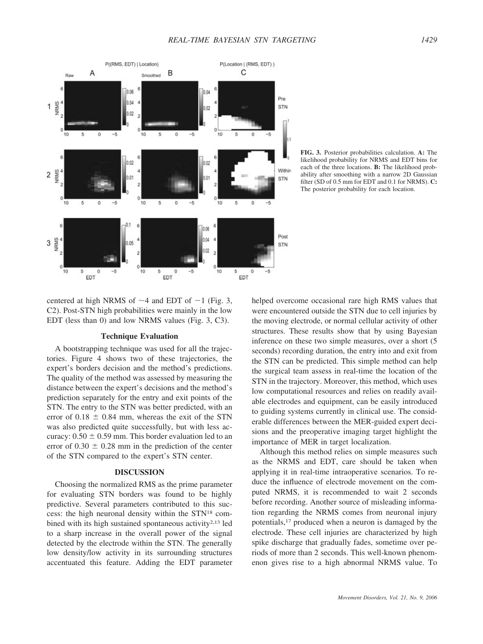

**FIG. 3.** Posterior probabilities calculation. **A:** The likelihood probability for NRMS and EDT bins for each of the three locations. **B:** The likelihood probability after smoothing with a narrow 2D Gaussian filter (SD of 0.5 mm for EDT and 0.1 for NRMS). **C:** The posterior probability for each location.

centered at high NRMS of  $\sim$ 4 and EDT of  $-1$  (Fig. 3, C2). Post-STN high probabilities were mainly in the low EDT (less than 0) and low NRMS values (Fig. 3, C3).

#### **Technique Evaluation**

A bootstrapping technique was used for all the trajectories. Figure 4 shows two of these trajectories, the expert's borders decision and the method's predictions. The quality of the method was assessed by measuring the distance between the expert's decisions and the method's prediction separately for the entry and exit points of the STN. The entry to the STN was better predicted, with an error of  $0.18 \pm 0.84$  mm, whereas the exit of the STN was also predicted quite successfully, but with less accuracy:  $0.50 \pm 0.59$  mm. This border evaluation led to an error of  $0.30 \pm 0.28$  mm in the prediction of the center of the STN compared to the expert's STN center.

# **DISCUSSION**

Choosing the normalized RMS as the prime parameter for evaluating STN borders was found to be highly predictive. Several parameters contributed to this success: the high neuronal density within the STN18 combined with its high sustained spontaneous activity<sup>2,13</sup> led to a sharp increase in the overall power of the signal detected by the electrode within the STN. The generally low density/low activity in its surrounding structures accentuated this feature. Adding the EDT parameter helped overcome occasional rare high RMS values that were encountered outside the STN due to cell injuries by the moving electrode, or normal cellular activity of other structures. These results show that by using Bayesian inference on these two simple measures, over a short (5 seconds) recording duration, the entry into and exit from the STN can be predicted. This simple method can help the surgical team assess in real-time the location of the STN in the trajectory. Moreover, this method, which uses low computational resources and relies on readily available electrodes and equipment, can be easily introduced to guiding systems currently in clinical use. The considerable differences between the MER-guided expert decisions and the preoperative imaging target highlight the importance of MER in target localization.

Although this method relies on simple measures such as the NRMS and EDT, care should be taken when applying it in real-time intraoperative scenarios. To reduce the influence of electrode movement on the computed NRMS, it is recommended to wait 2 seconds before recording. Another source of misleading information regarding the NRMS comes from neuronal injury potentials,17 produced when a neuron is damaged by the electrode. These cell injuries are characterized by high spike discharge that gradually fades, sometime over periods of more than 2 seconds. This well-known phenomenon gives rise to a high abnormal NRMS value. To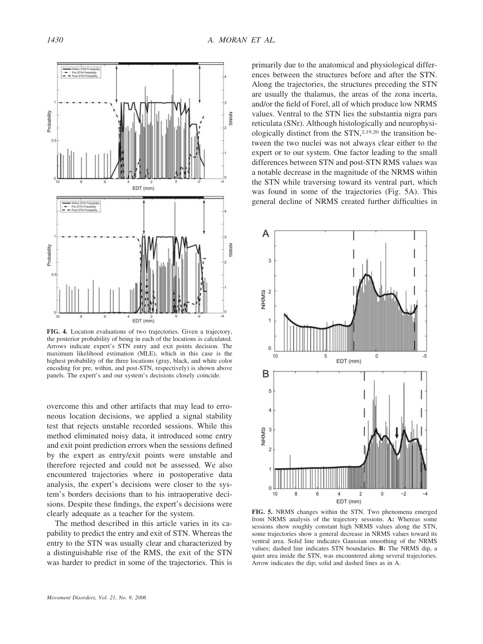

**FIG. 4.** Location evaluations of two trajectories. Given a trajectory, the posterior probability of being in each of the locations is calculated. Arrows indicate expert's STN entry and exit points decision. The maximum likelihood estimation (MLE), which in this case is the highest probability of the three locations (gray, black, and white color encoding for pre, within, and post-STN, respectively) is shown above panels. The expert's and our system's decisions closely coincide.

overcome this and other artifacts that may lead to erroneous location decisions, we applied a signal stability test that rejects unstable recorded sessions. While this method eliminated noisy data, it introduced some entry and exit point prediction errors when the sessions defined by the expert as entry/exit points were unstable and therefore rejected and could not be assessed. We also encountered trajectories where in postoperative data analysis, the expert's decisions were closer to the system's borders decisions than to his intraoperative decisions. Despite these findings, the expert's decisions were clearly adequate as a teacher for the system.

The method described in this article varies in its capability to predict the entry and exit of STN. Whereas the entry to the STN was usually clear and characterized by a distinguishable rise of the RMS, the exit of the STN was harder to predict in some of the trajectories. This is primarily due to the anatomical and physiological differences between the structures before and after the STN. Along the trajectories, the structures preceding the STN are usually the thalamus, the areas of the zona incerta, and/or the field of Forel, all of which produce low NRMS values. Ventral to the STN lies the substantia nigra pars reticulata (SNr). Although histologically and neurophysiologically distinct from the STN,2,19,20 the transition between the two nuclei was not always clear either to the expert or to our system. One factor leading to the small differences between STN and post-STN RMS values was a notable decrease in the magnitude of the NRMS within the STN while traversing toward its ventral part, which was found in some of the trajectories (Fig. 5A). This general decline of NRMS created further difficulties in



**FIG. 5.** NRMS changes within the STN. Two phenomena emerged from NRMS analysis of the trajectory sessions. **A:** Whereas some sessions show roughly constant high NRMS values along the STN, some trajectories show a general decrease in NRMS values toward its ventral area. Solid line indicates Gaussian smoothing of the NRMS values; dashed line indicates STN boundaries. **B:** The NRMS dip, a quiet area inside the STN, was encountered along several trajectories. Arrow indicates the dip; solid and dashed lines as in A.